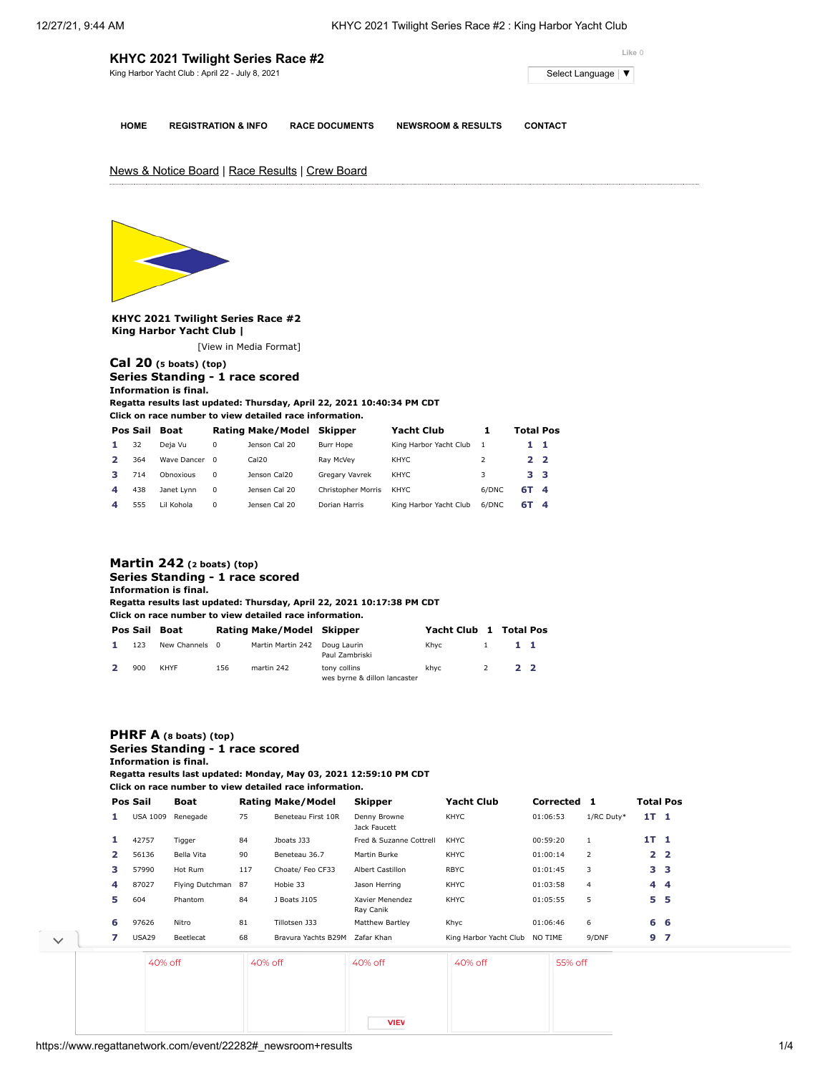| KHYC 2021 Twilight Series Race #2               | Like 0                                     |
|-------------------------------------------------|--------------------------------------------|
| King Harbor Yacht Club: April 22 - July 8, 2021 | Select Language $\vert \blacktriangledown$ |
|                                                 |                                            |

**HOME REGISTRATION & INFO RACE DOCUMENTS NEWSROOM & RESULTS CONTACT**

News & Notice Board | Race Results | Crew Board



**KHYC 2021 Twilight Series Race #2 King Harbor Yacht Club |**

[\[View in Media Format](https://www.regattanetwork.com/clubmgmt/applet_regatta_results.php?regatta_id=22282&show_manufacturer=1&show_crew=1&media_format=1)]

### **[Cal 20](https://www.regattanetwork.com/clubmgmt/applet_regatta_results.php?regatta_id=22282&show_manufacturer=1&show_crew=1&limit_fleet=Cal+20) (5 boats) (top) Series Standing - 1 race scored Information is final.**

**Regatta results last updated: Thursday, April 22, 2021 10:40:34 PM CDT**

**Click on race number to view detailed race information.**

|   | Pos Sail | <b>Boat</b>   |          | <b>Rating Make/Model</b> | Skipper                   | Yacht Club             |       | <b>Total Pos</b> |  |
|---|----------|---------------|----------|--------------------------|---------------------------|------------------------|-------|------------------|--|
|   | 32       | Deja Vu       | 0        | Jenson Cal 20            | Burr Hope                 | King Harbor Yacht Club |       | 11               |  |
|   | 364      | Wave Dancer 0 |          | Cal20                    | Rav McVev                 | KHYC                   |       | 22               |  |
|   | 714      | Obnoxious     | $\Omega$ | Jenson Cal20             | Gregary Vavrek            | KHYC                   | 3     | 33               |  |
| Δ | 438      | Janet Lynn    | 0        | Jensen Cal 20            | <b>Christopher Morris</b> | KHYC.                  | 6/DNC | 6T 4             |  |
| 4 | 555      | Lil Kohola    | 0        | Jensen Cal 20            | Dorian Harris             | King Harbor Yacht Club | 6/DNC | 6T 4             |  |

## **[Martin 242](https://www.regattanetwork.com/clubmgmt/applet_regatta_results.php?regatta_id=22282&show_manufacturer=1&show_crew=1&limit_fleet=Martin+242) (2 boats) (top) Series Standing - 1 race scored**

**Information is final. Regatta results last updated: Thursday, April 22, 2021 10:17:38 PM CDT**

**Click on race number to view detailed race information.**

|     | Pos Sail Boat  |     | Rating Make/Model Skipper |                                              | Yacht Club 1 Total Pos |                        |           |  |
|-----|----------------|-----|---------------------------|----------------------------------------------|------------------------|------------------------|-----------|--|
| 123 | New Channels 0 |     | Martin Martin 242         | Doug Laurin<br>Paul Zambriski                | Khvc                   | $1 \quad \blacksquare$ | $1\quad1$ |  |
| 900 | KHYF           | 156 | martin 242                | tony collins<br>wes byrne & dillon lancaster | khyc                   | <sup>2</sup>           | 2 2       |  |

# **[PHRF A](https://www.regattanetwork.com/clubmgmt/applet_regatta_results.php?regatta_id=22282&show_manufacturer=1&show_crew=1&limit_fleet=PHRF+A) (8 boats) (top) Series Standing - 1 race scored**

**Information is final.**

**Regatta results last updated: Monday, May 03, 2021 12:59:10 PM CDT**

**Regatta results last updated: Friday April 23 2021 5:01:39 PM CDT**

**Click on race number to view detailed race information.**

|   | Pos Sail        | Boat            |         | <b>Rating Make/Model</b> | <b>Skipper</b>               | <b>Yacht Club</b>      | Corrected 1 |                | <b>Total Pos</b> |                |
|---|-----------------|-----------------|---------|--------------------------|------------------------------|------------------------|-------------|----------------|------------------|----------------|
| 1 | <b>USA 1009</b> | Renegade        | 75      | Beneteau First 10R       | Denny Browne<br>Jack Faucett | KHYC                   | 01:06:53    | 1/RC Duty*     | 1T <sub>1</sub>  |                |
| 1 | 42757           | Tigger          | 84      | Jboats J33               | Fred & Suzanne Cottrell      | <b>KHYC</b>            | 00:59:20    | $\mathbf{1}$   | 1T <sub>1</sub>  |                |
| 2 | 56136           | Bella Vita      | 90      | Beneteau 36.7            | Martin Burke                 | KHYC                   | 01:00:14    | 2              |                  | 2 <sub>2</sub> |
| з | 57990           | Hot Rum         | 117     | Choate/ Feo CF33         | Albert Castillon             | <b>RBYC</b>            | 01:01:45    | 3              |                  | 3 <sub>3</sub> |
| 4 | 87027           | Flying Dutchman | 87      | Hobie 33                 | Jason Herring                | KHYC                   | 01:03:58    | $\overline{4}$ |                  | 44             |
| 5 | 604             | Phantom         | 84      | J Boats J105             | Xavier Menendez<br>Ray Canik | KHYC                   | 01:05:55    | 5              | 5.               | -5             |
| 6 | 97626           | Nitro           | 81      | Tillotsen J33            | Matthew Bartley              | Khyc                   | 01:06:46    | 6              | 6 6              |                |
| 7 | USA29           | Beetlecat       | 68      | Bravura Yachts B29M      | Zafar Khan                   | King Harbor Yacht Club | NO TIME     | 9/DNF          | 9 <sub>7</sub>   |                |
|   | 40% off         |                 | 40% off |                          | 40% off                      | 40% off                | 55% off     |                |                  |                |

**VIEW**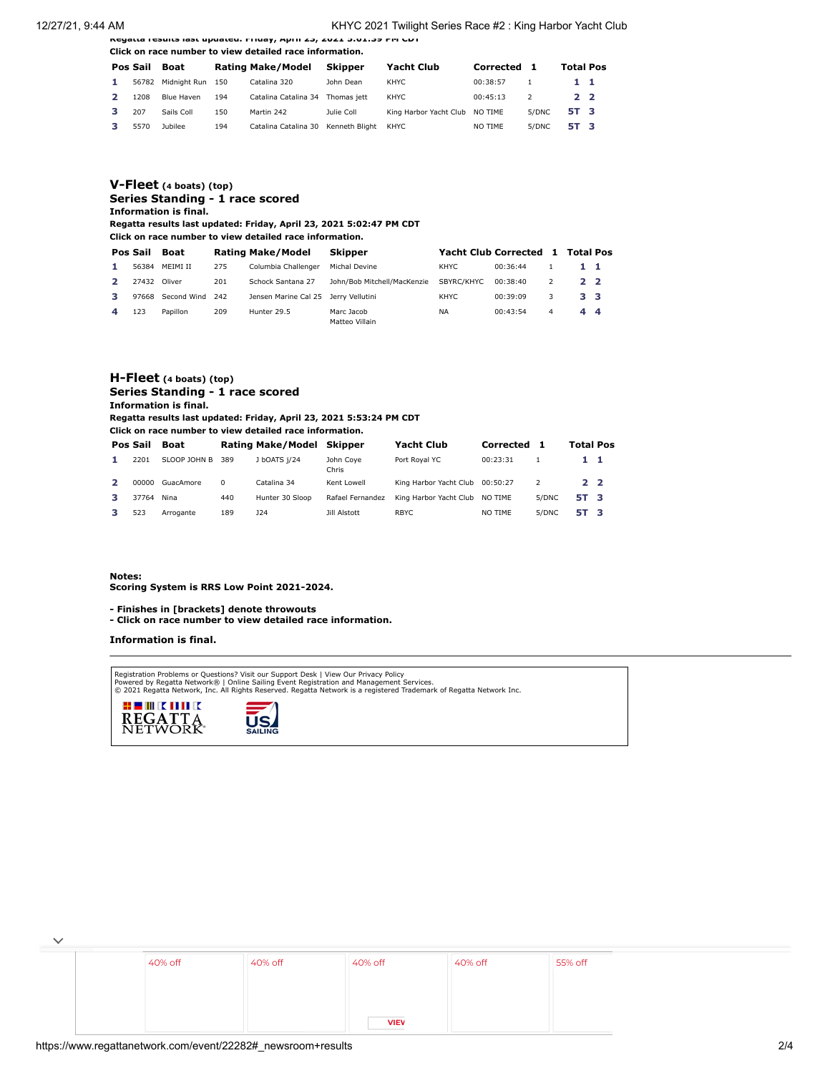12/27/21, 9:44 AM KHYC 2021 Twilight Series Race #2 : King Harbor Yacht Club

**Regatta results last updated: Friday, April 23, 2021 5:01:39 PM CDT Click on race number to view detailed race information.**

|    | Pos Sail | Boat             |     | <b>Rating Make/Model</b> | Skipper        | <b>Yacht Club</b>              | Corrected 1 |       | <b>Total Pos</b> |  |
|----|----------|------------------|-----|--------------------------|----------------|--------------------------------|-------------|-------|------------------|--|
| 1. | 56782    | Midnight Run 150 |     | Catalina 320             | John Dean      | KHYC                           | 00:38:57    |       | $1\quad1$        |  |
|    | 1208     | Blue Haven       | 194 | Catalina Catalina 34     | Thomas iett    | KHYC                           | 00:45:13    |       | 2 <sub>2</sub>   |  |
|    | 207      | Sails Coll       | 150 | Martin 242               | Julie Coll     | King Harbor Yacht Club NO TIME |             | 5/DNC | 5T 3             |  |
|    | 5570     | Jubilee          | 194 | Catalina Catalina 30     | Kenneth Bliaht | KHYC                           | NO TIME     | 5/DNC | 5T 3             |  |

#### **[V-Fleet](https://www.regattanetwork.com/clubmgmt/applet_regatta_results.php?regatta_id=22282&show_manufacturer=1&show_crew=1&limit_fleet=V-Fleet) (4 boats) (top) Series Standing - 1 race scored Information is final.**

**Regatta results last updated: Friday, April 23, 2021 5:02:47 PM CDT**

**Click on race number to view detailed race information.**

| Pos Sail | Boat        |      | <b>Rating Make/Model</b>             | Skipper                      |            | <b>Yacht Club Corrected</b> |   | 1 Total Pos    |  |
|----------|-------------|------|--------------------------------------|------------------------------|------------|-----------------------------|---|----------------|--|
| 56384    | MFIMI II    | 275  | Columbia Challenger                  | Michal Devine                | KHYC.      | 00:36:44                    |   | $1 \quad 1$    |  |
| 27432    | Oliver      | 201  | Schock Santana 27                    | John/Bob Mitchell/MacKenzie  | SBYRC/KHYC | 00:38:40                    |   | $2^{\circ}$    |  |
| 97668    | Second Wind | -242 | Jensen Marine Cal 25 Jerry Vellutini |                              | KHYC.      | 00:39:09                    |   | 3 <sub>3</sub> |  |
| 123      | Papillon    | 209  | Hunter 29.5                          | Marc Jacob<br>Matteo Villain | <b>NA</b>  | 00:43:54                    | 4 | 44             |  |

#### **[H-Fleet](https://www.regattanetwork.com/clubmgmt/applet_regatta_results.php?regatta_id=22282&show_manufacturer=1&show_crew=1&limit_fleet=H-Fleet) (4 boats) (top) Series Standing - 1 race scored Information is final.**

**Regatta results last updated: Friday, April 23, 2021 5:53:24 PM CDT**

**Click on race number to view detailed race information.**

|    | Pos Sail | Boat             |          | Rating Make/Model Skipper |                    | <b>Yacht Club</b>               | Corrected | 1     | <b>Total Pos</b> |  |
|----|----------|------------------|----------|---------------------------|--------------------|---------------------------------|-----------|-------|------------------|--|
|    | 2201     | SLOOP JOHN B 389 |          | J bOATS 1/24              | John Cove<br>Chris | Port Roval YC                   | 00:23:31  |       | 11               |  |
| 2  | 00000    | GuacAmore        | $\Omega$ | Catalina 34               | Kent Lowell        | King Harbor Yacht Club 00:50:27 |           |       | 2 <sub>2</sub>   |  |
|    | 37764    | Nina             | 440      | Hunter 30 Sloop           | Rafael Fernandez   | King Harbor Yacht Club NO TIME  |           | 5/DNC | 5T 3             |  |
| з. | 523      | Arrogante        | 189      | J24                       | Jill Alstott       | <b>RBYC</b>                     | NO TIME   | 5/DNC | 5T 3             |  |

#### **Notes:**

**Scoring System is RRS Low Point 2021-2024.**

**- Finishes in [brackets] denote throwouts** 

**- Click on race number to view detailed race information.**

#### **Information is final.**

Registration Problems or Questions? [Visit our Support Desk](http://support.regattanetwork.com/) | [View Our Privacy Policy](https://www.regattanetwork.com/html/privacy.html)<br>[Powered by Regatta Network®](http://www.regattanetwork.com/) | Online Sailing Event Registration and Management Services.<br>© 2021 [Regatta Network,](http://www.regattanetwork.com/) Inc. All Rights Reserved





| 40% off | 40% off | 40% off     | 40% off | 55% off |
|---------|---------|-------------|---------|---------|
|         |         |             |         |         |
|         |         | <b>VIEV</b> |         |         |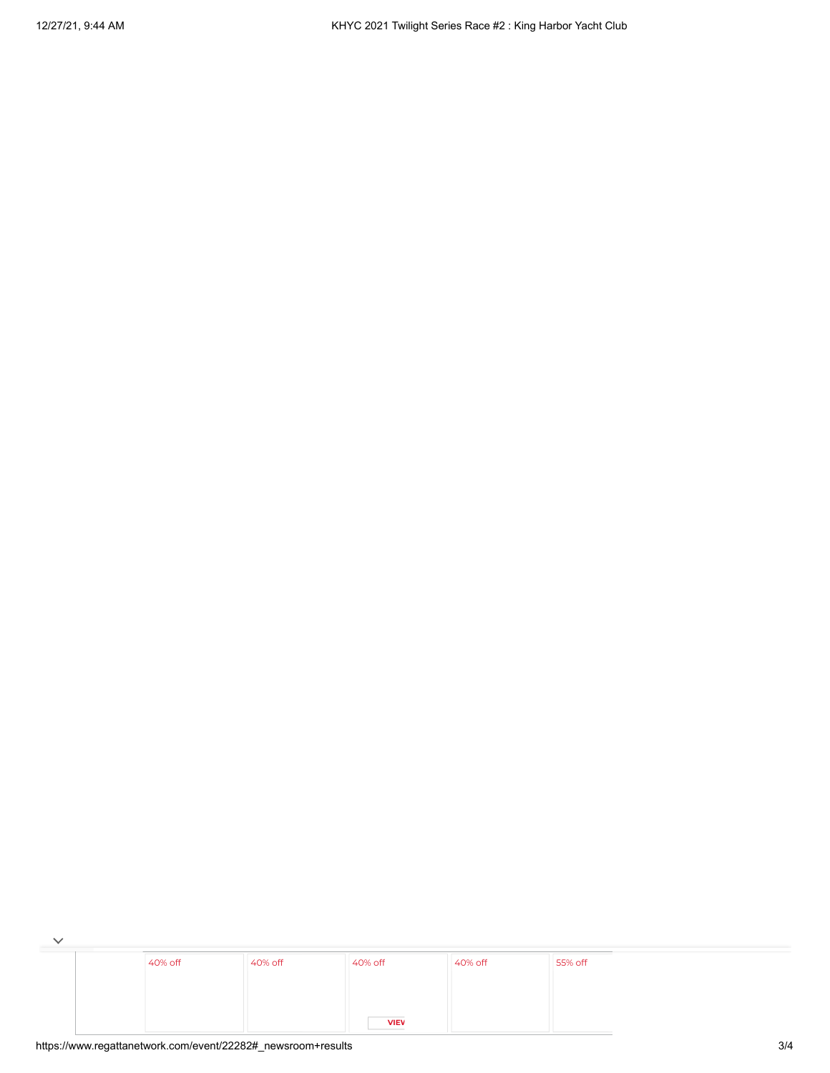| 40% off | 40% off | 40% off     | 40% off | 55% off |
|---------|---------|-------------|---------|---------|
|         |         |             |         |         |
|         |         | <b>VIEV</b> |         |         |

 $\checkmark$